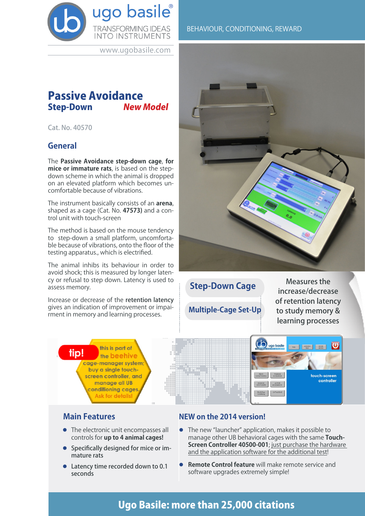

www.ugobasile.com

# **Passive Avoidance**<br>Step-Down New Model **Step-Down**

Cat. No. 40570

## **General**

The **Passive Avoidance step-down cage**, **for mice or immature rats**, is based on the stepdown scheme in which the animal is dropped on an elevated platform which becomes uncomfortable because of vibrations.

The instrument basically consists of an **arena**, shaped as a cage (Cat. No. **47573)** and a control unit with touch-screen

The method is based on the mouse tendency to step-down a small platform, uncomfortable because of vibrations, onto the floor of the testing apparatus., which is electrified.

The animal inhibs its behaviour in order to avoid shock; this is measured by longer latency or refusal to step down. Latency is used to assess memory.

Increase or decrease of the retention latency gives an indication of improvement or impairment in memory and learning processes.



BEHAVIOUR, CONDITIONING, REWARD

**Step-Down Cage**

**Multiple-Cage Set-Up**

Measures the increase/decrease of retention latency to study memory & learning processes

controller





## **Main Features**

- $\bullet$  The electronic unit encompasses all controls for **up to 4 animal cages!**
- **•** Specifically designed for mice or immature rats
- $\bullet$  Latency time recorded down to 0.1 seconds

## **NEW on the 2014 version!**

- The new "launcher" application, makes it possible to manage other UB behavioral cages with the same **Touch-Screen Controller 40500-001**; just purchase the hardware and the application software for the additional test!
- **Remote Control feature** will make remote service and software upgrades extremely simple!

# Ugo Basile: more than 25,000 citations